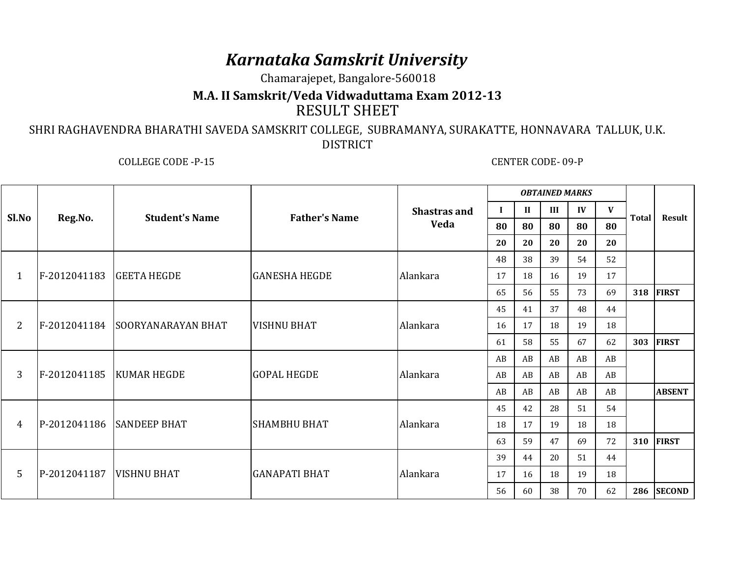## *Karnataka Samskrit University*

Chamarajepet, Bangalore-560018

## **M.A. II Samskrit/Veda Vidwaduttama Exam 2012-13**RESULT SHEET

## SHRI RAGHAVENDRA BHARATHI SAVEDA SAMSKRIT COLLEGE, SUBRAMANYA, SURAKATTE, HONNAVARA TALLUK, U.K. DISTRICT

COLLEGE CODE -P-15 CENTER CODE- 09-P

| Sl.No | Reg.No.                    | <b>Student's Name</b>           | <b>Father's Name</b> | <b>Shastras and</b><br>Veda | <b>OBTAINED MARKS</b> |              |     |              |    |              |               |
|-------|----------------------------|---------------------------------|----------------------|-----------------------------|-----------------------|--------------|-----|--------------|----|--------------|---------------|
|       |                            |                                 |                      |                             | $\bf{I}$              | $\mathbf{I}$ | III | $\mathbf{I}$ | V  | <b>Total</b> |               |
|       |                            |                                 |                      |                             | 80                    | 80           | 80  | 80           | 80 |              | Result        |
|       |                            |                                 |                      |                             | 20                    | 20           | 20  | 20           | 20 |              |               |
| 1     | F-2012041183               | <b>GEETA HEGDE</b>              | <b>GANESHA HEGDE</b> | Alankara                    | 48                    | 38           | 39  | 54           | 52 |              |               |
|       |                            |                                 |                      |                             | 17                    | 18           | 16  | 19           | 17 |              |               |
|       |                            |                                 |                      |                             | 65                    | 56           | 55  | 73           | 69 | 318          | <b>FIRST</b>  |
| 2     |                            | F-2012041184 SOORYANARAYAN BHAT | <b>VISHNU BHAT</b>   | Alankara                    | 45                    | 41           | 37  | 48           | 44 |              |               |
|       |                            |                                 |                      |                             | 16                    | 17           | 18  | 19           | 18 |              |               |
|       |                            |                                 |                      |                             | 61                    | 58           | 55  | 67           | 62 | 303          | <b>FIRST</b>  |
| 3     |                            | F-2012041185   KUMAR HEGDE      | <b>GOPAL HEGDE</b>   | Alankara                    | AB                    | AB           | AB  | AB           | AB |              |               |
|       |                            |                                 |                      |                             | AB                    | AB           | AB  | AB           | AB |              |               |
|       |                            |                                 |                      |                             | AB                    | AB           | AB  | AB           | AB |              | <b>ABSENT</b> |
| 4     |                            | P-2012041186 SANDEEP BHAT       | <b>SHAMBHU BHAT</b>  | Alankara                    | 45                    | 42           | 28  | 51           | 54 |              |               |
|       |                            |                                 |                      |                             | 18                    | 17           | 19  | 18           | 18 |              |               |
|       |                            |                                 |                      |                             | 63                    | 59           | 47  | 69           | 72 | 310          | <b>FIRST</b>  |
| 5     | P-2012041187   VISHNU BHAT |                                 | <b>GANAPATI BHAT</b> | Alankara                    | 39                    | 44           | 20  | 51           | 44 |              |               |
|       |                            |                                 |                      |                             | 17                    | 16           | 18  | 19           | 18 |              |               |
|       |                            |                                 |                      |                             | 56                    | 60           | 38  | 70           | 62 | 286          | <b>SECOND</b> |